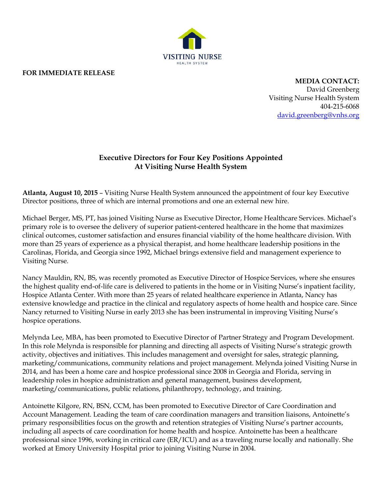

## **FOR IMMEDIATE RELEASE**

**MEDIA CONTACT:** David Greenberg Visiting Nurse Health System 404-215-6068 [david.greenberg@vnhs.org](mailto:david.greenberg@vnhs.org)

## **Executive Directors for Four Key Positions Appointed At Visiting Nurse Health System**

**Atlanta, August 10, 2015** – Visiting Nurse Health System announced the appointment of four key Executive Director positions, three of which are internal promotions and one an external new hire.

Michael Berger, MS, PT, has joined Visiting Nurse as Executive Director, Home Healthcare Services. Michael's primary role is to oversee the delivery of superior patient-centered healthcare in the home that maximizes clinical outcomes, customer satisfaction and ensures financial viability of the home healthcare division. With more than 25 years of experience as a physical therapist, and home healthcare leadership positions in the Carolinas, Florida, and Georgia since 1992, Michael brings extensive field and management experience to Visiting Nurse.

Nancy Mauldin, RN, BS, was recently promoted as Executive Director of Hospice Services, where she ensures the highest quality end-of-life care is delivered to patients in the home or in Visiting Nurse's inpatient facility, Hospice Atlanta Center. With more than 25 years of related healthcare experience in Atlanta, Nancy has extensive knowledge and practice in the clinical and regulatory aspects of home health and hospice care. Since Nancy returned to Visiting Nurse in early 2013 she has been instrumental in improving Visiting Nurse's hospice operations.

Melynda Lee, MBA, has been promoted to Executive Director of Partner Strategy and Program Development. In this role Melynda is responsible for planning and directing all aspects of Visiting Nurse's strategic growth activity, objectives and initiatives. This includes management and oversight for sales, strategic planning, marketing/communications, community relations and project management. Melynda joined Visiting Nurse in 2014, and has been a home care and hospice professional since 2008 in Georgia and Florida, serving in leadership roles in hospice administration and general management, business development, marketing/communications, public relations, philanthropy, technology, and training.

Antoinette Kilgore, RN, BSN, CCM, has been promoted to Executive Director of Care Coordination and Account Management. Leading the team of care coordination managers and transition liaisons, Antoinette's primary responsibilities focus on the growth and retention strategies of Visiting Nurse's partner accounts, including all aspects of care coordination for home health and hospice. Antoinette has been a healthcare professional since 1996, working in critical care (ER/ICU) and as a traveling nurse locally and nationally. She worked at Emory University Hospital prior to joining Visiting Nurse in 2004.